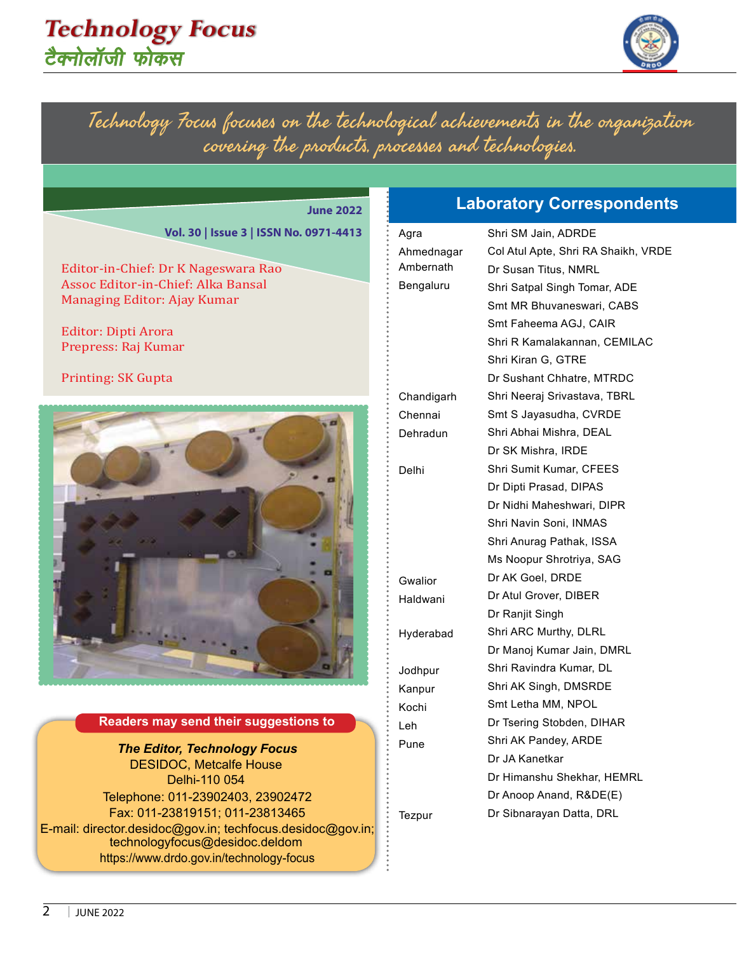### **Technology Focus** <u>टैक्नोलॉजी फोकस</u>



Technology Focus focuses on the technological achievements in the organization covering the products, processes and technologies.

#### **June 2022**

**Vol. 30 | Issue 3 | ISSN No. 0971-4413** 

Editor-in-Chief: Dr K Nageswara Rao Assoc Editor-in-Chief: Alka Bansal Managing Editor: Ajay Kumar

Editor: Dipti Arora Prepress: Raj Kumar

Printing: SK Gupta



#### **Readers may send their suggestions to**

*The Editor, Technology Focus*  DESIDOC, Metcalfe House Delhi-110 054 Telephone: 011-23902403, 23902472 Fax: 011-23819151; 011-23813465 E-mail: director.desidoc@gov.in; techfocus.desidoc@gov.in; technologyfocus@desidoc.deldom https://www.drdo.gov.in/technology-focus

#### **Laboratory Correspondents**

| Agra       | Shri SM Jain, ADRDE                 |
|------------|-------------------------------------|
| Ahmednagar | Col Atul Apte, Shri RA Shaikh, VRDE |
| Ambernath  | Dr Susan Titus, NMRL                |
| Bengaluru  | Shri Satpal Singh Tomar, ADE        |
|            | Smt MR Bhuvaneswari. CABS           |
|            | Smt Faheema AGJ, CAIR               |
|            | Shri R Kamalakannan, CEMILAC□       |
|            | Shri Kiran G. GTRE                  |
|            | Dr Sushant Chhatre, MTRDC           |
| Chandigarh | Shri Neeraj Srivastava, TBRL        |
| Chennai    | Smt S Jayasudha, CVRDE              |
| Dehradun   | Shri Abhai Mishra, DEAL             |
|            | Dr SK Mishra, IRDE                  |
| Delhi      | Shri Sumit Kumar, CFEES             |
|            | Dr Dipti Prasad, DIPAS              |
|            | Dr Nidhi Maheshwari, DIPR           |
|            | Shri Navin Soni, INMAS              |
|            | Shri Anurag Pathak, ISSA            |
|            | Ms Noopur Shrotriya, SAG            |
| Gwalior    | Dr AK Goel, DRDE                    |
| Haldwani   | Dr Atul Grover, DIBER               |
|            | Dr Ranjit Singh                     |
| Hyderabad  | Shri ARC Murthy, DLRL               |
|            | Dr Manoj Kumar Jain, DMRL           |
| Jodhpur    | Shri Ravindra Kumar, DL             |
| Kanpur     | Shri AK Singh, DMSRDE               |
| Kochi      | Smt Letha MM, NPOL                  |
| Leh        | Dr Tsering Stobden, DIHAR           |
| Pune       | Shri AK Pandey, ARDE                |
|            | Dr JA Kanetkar                      |
|            | Dr Himanshu Shekhar, HEMRL          |
|            | Dr Anoop Anand, R&DE(E)             |
| Tezpur     | Dr Sibnarayan Datta, DRL            |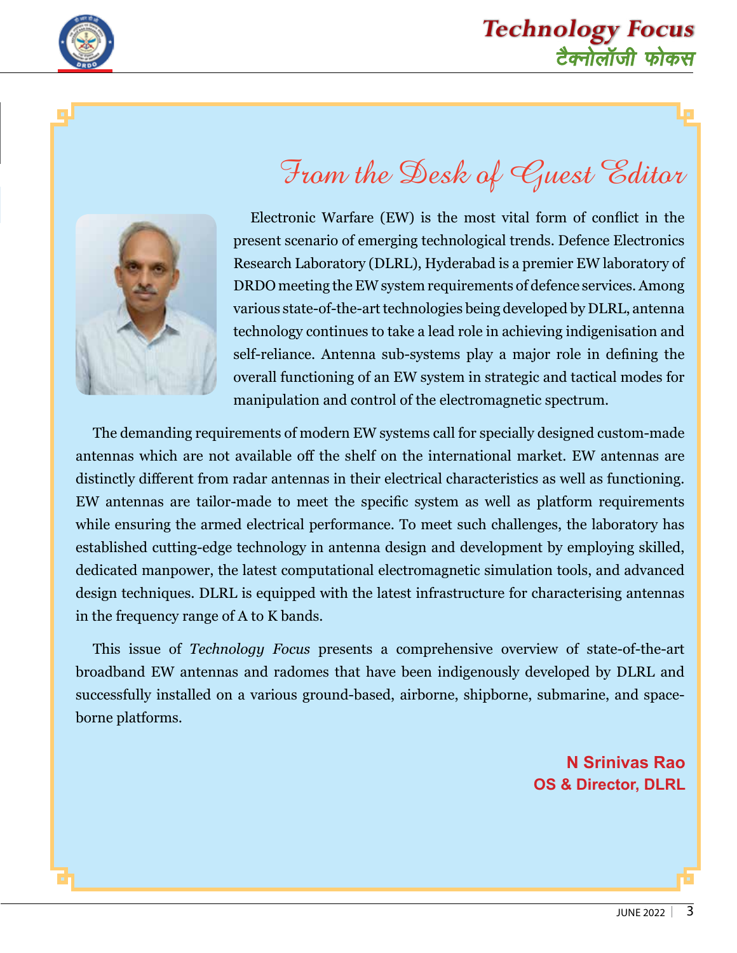

### टैक्नोलॉजी फोकस **Technology Focus**



# From the Desk of Guest Editor

Electronic Warfare (EW) is the most vital form of conflict in the present scenario of emerging technological trends. Defence Electronics Research Laboratory (DLRL), Hyderabad is a premier EW laboratory of DRDO meeting the EW system requirements of defence services. Among various state-of-the-art technologies being developed by DLRL, antenna technology continues to take a lead role in achieving indigenisation and self-reliance. Antenna sub-systems play a major role in defining the overall functioning of an EW system in strategic and tactical modes for manipulation and control of the electromagnetic spectrum.

The demanding requirements of modern EW systems call for specially designed custom-made antennas which are not available off the shelf on the international market. EW antennas are distinctly different from radar antennas in their electrical characteristics as well as functioning. EW antennas are tailor-made to meet the specific system as well as platform requirements while ensuring the armed electrical performance. To meet such challenges, the laboratory has established cutting-edge technology in antenna design and development by employing skilled, dedicated manpower, the latest computational electromagnetic simulation tools, and advanced design techniques. DLRL is equipped with the latest infrastructure for characterising antennas in the frequency range of A to K bands.

This issue of *Technology Focus* presents a comprehensive overview of state-of-the-art broadband EW antennas and radomes that have been indigenously developed by DLRL and successfully installed on a various ground-based, airborne, shipborne, submarine, and spaceborne platforms.

> **N Srinivas Rao OS & Director, DLRL**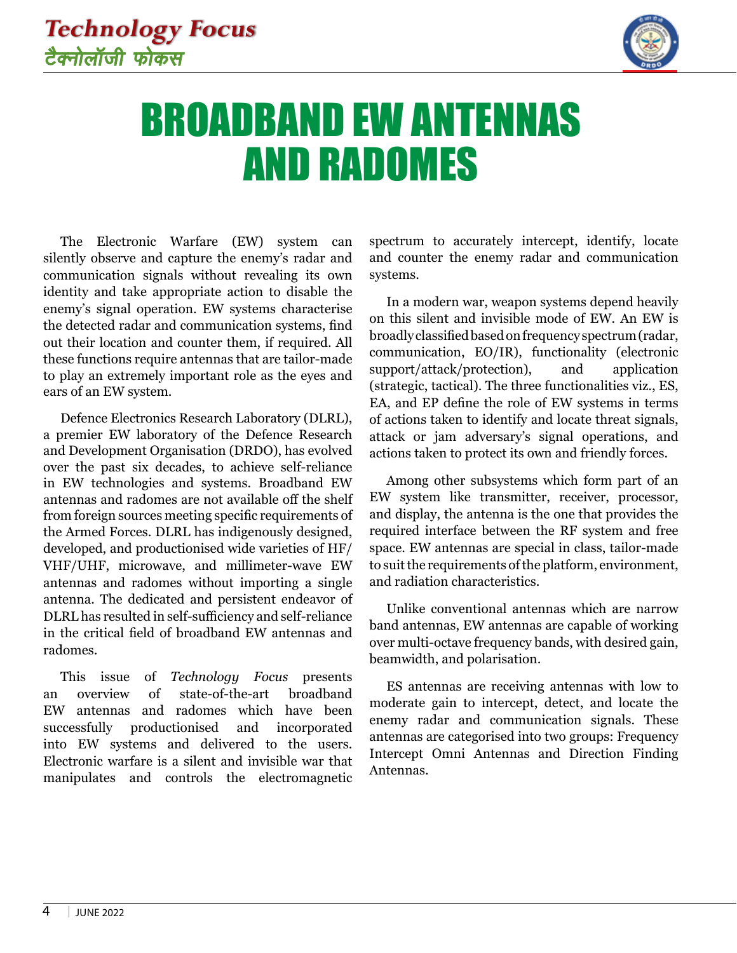

# BROADBAND EW ANTENNAS AND RADOMES

The Electronic Warfare (EW) system can silently observe and capture the enemy's radar and communication signals without revealing its own identity and take appropriate action to disable the enemy's signal operation. EW systems characterise the detected radar and communication systems, find out their location and counter them, if required. All these functions require antennas that are tailor-made to play an extremely important role as the eyes and ears of an EW system.

Defence Electronics Research Laboratory (DLRL), a premier EW laboratory of the Defence Research and Development Organisation (DRDO), has evolved over the past six decades, to achieve self-reliance in EW technologies and systems. Broadband EW antennas and radomes are not available off the shelf from foreign sources meeting specific requirements of the Armed Forces. DLRL has indigenously designed, developed, and productionised wide varieties of HF/ VHF/UHF, microwave, and millimeter-wave EW antennas and radomes without importing a single antenna. The dedicated and persistent endeavor of DLRL has resulted in self-sufficiency and self-reliance in the critical field of broadband EW antennas and radomes.

This issue of *Technology Focus* presents an overview of state-of-the-art broadband EW antennas and radomes which have been successfully productionised and incorporated into EW systems and delivered to the users. Electronic warfare is a silent and invisible war that manipulates and controls the electromagnetic spectrum to accurately intercept, identify, locate and counter the enemy radar and communication systems.

In a modern war, weapon systems depend heavily on this silent and invisible mode of EW. An EW is broadly classified based on frequency spectrum (radar, communication, EO/IR), functionality (electronic support/attack/protection), and application (strategic, tactical). The three functionalities viz., ES, EA, and EP define the role of EW systems in terms of actions taken to identify and locate threat signals, attack or jam adversary's signal operations, and actions taken to protect its own and friendly forces.

Among other subsystems which form part of an EW system like transmitter, receiver, processor, and display, the antenna is the one that provides the required interface between the RF system and free space. EW antennas are special in class, tailor-made to suit the requirements of the platform, environment, and radiation characteristics.

Unlike conventional antennas which are narrow band antennas, EW antennas are capable of working over multi-octave frequency bands, with desired gain, beamwidth, and polarisation.

ES antennas are receiving antennas with low to moderate gain to intercept, detect, and locate the enemy radar and communication signals. These antennas are categorised into two groups: Frequency Intercept Omni Antennas and Direction Finding Antennas.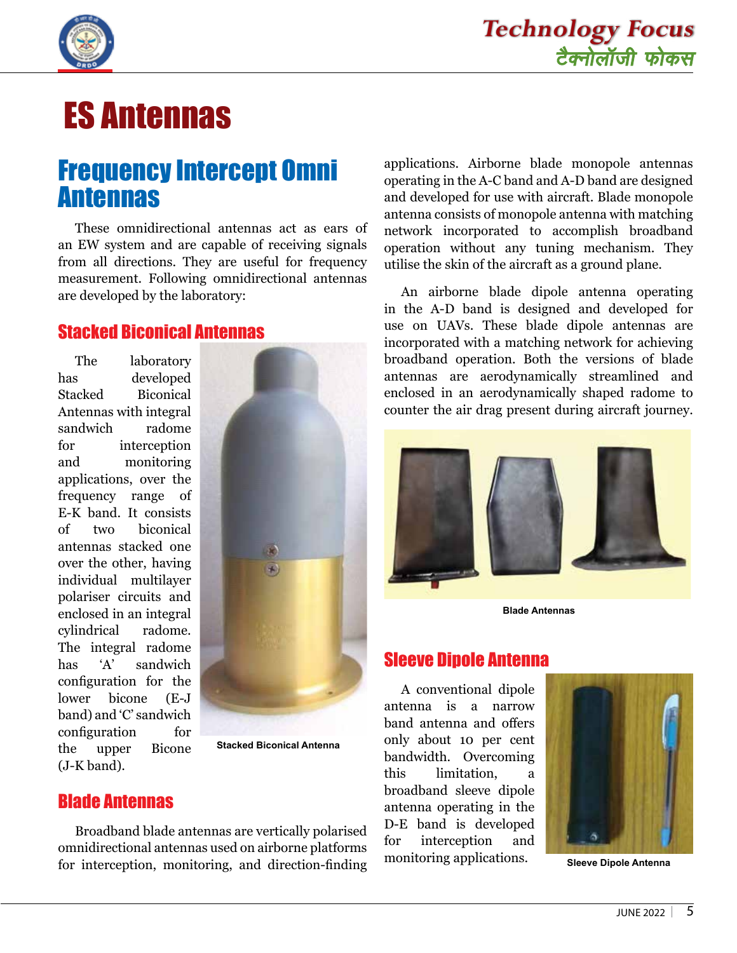



## ES Antennas

## Frequency Intercept Omni Antennas

These omnidirectional antennas act as ears of an EW system and are capable of receiving signals from all directions. They are useful for frequency measurement. Following omnidirectional antennas are developed by the laboratory:

#### Stacked Biconical Antennas

The laboratory has developed Stacked Biconical Antennas with integral sandwich radome for interception and monitoring applications, over the frequency range of E-K band. It consists of two biconical antennas stacked one over the other, having individual multilayer polariser circuits and enclosed in an integral cylindrical radome. The integral radome has 'A' sandwich configuration for the lower bicone (E-J band) and 'C' sandwich configuration for the upper Bicone (J-K band).



**Stacked Biconical Antenna**

#### Blade Antennas

Broadband blade antennas are vertically polarised omnidirectional antennas used on airborne platforms for interception, monitoring, and direction-finding applications. Airborne blade monopole antennas operating in the A-C band and A-D band are designed and developed for use with aircraft. Blade monopole antenna consists of monopole antenna with matching network incorporated to accomplish broadband operation without any tuning mechanism. They utilise the skin of the aircraft as a ground plane.

An airborne blade dipole antenna operating in the A-D band is designed and developed for use on UAVs. These blade dipole antennas are incorporated with a matching network for achieving broadband operation. Both the versions of blade antennas are aerodynamically streamlined and enclosed in an aerodynamically shaped radome to counter the air drag present during aircraft journey.



**Blade Antennas**

#### Sleeve Dipole Antenna

A conventional dipole antenna is a narrow band antenna and offers only about 10 per cent bandwidth. Overcoming this limitation, a broadband sleeve dipole antenna operating in the D-E band is developed for interception and monitoring applications.



**Sleeve Dipole Antenna**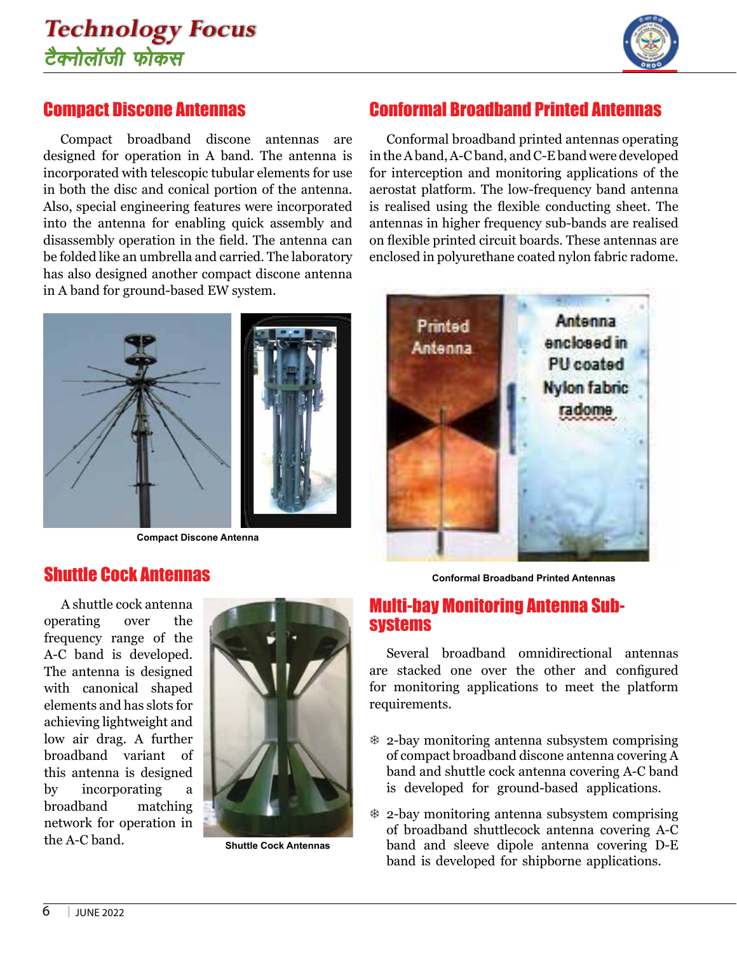

#### Compact Discone Antennas

Compact broadband discone antennas are designed for operation in A band. The antenna is incorporated with telescopic tubular elements for use in both the disc and conical portion of the antenna. Also, special engineering features were incorporated into the antenna for enabling quick assembly and disassembly operation in the field. The antenna can be folded like an umbrella and carried. The laboratory has also designed another compact discone antenna in A band for ground-based EW system.



**Compact Discone Antenna**

#### Conformal Broadband Printed Antennas

Conformal broadband printed antennas operating in the A band, A-C band, and C-E band were developed for interception and monitoring applications of the aerostat platform. The low-frequency band antenna is realised using the flexible conducting sheet. The antennas in higher frequency sub-bands are realised on flexible printed circuit boards. These antennas are enclosed in polyurethane coated nylon fabric radome.



#### Shuttle Cock Antennas

A shuttle cock antenna operating over the frequency range of the A-C band is developed. The antenna is designed with canonical shaped elements and has slots for achieving lightweight and low air drag. A further broadband variant of this antenna is designed by incorporating a broadband matching network for operation in the A-C band.



**Shuttle Cock Antennas** 

**Conformal Broadband Printed Antennas**

#### Multi-bay Monitoring Antenna Subsystems

Several broadband omnidirectional antennas are stacked one over the other and configured for monitoring applications to meet the platform requirements.

- $\&$  2-bay monitoring antenna subsystem comprising of compact broadband discone antenna covering A band and shuttle cock antenna covering A-C band is developed for ground-based applications.
- $*$  2-bay monitoring antenna subsystem comprising of broadband shuttlecock antenna covering A-C band and sleeve dipole antenna covering D-E band is developed for shipborne applications.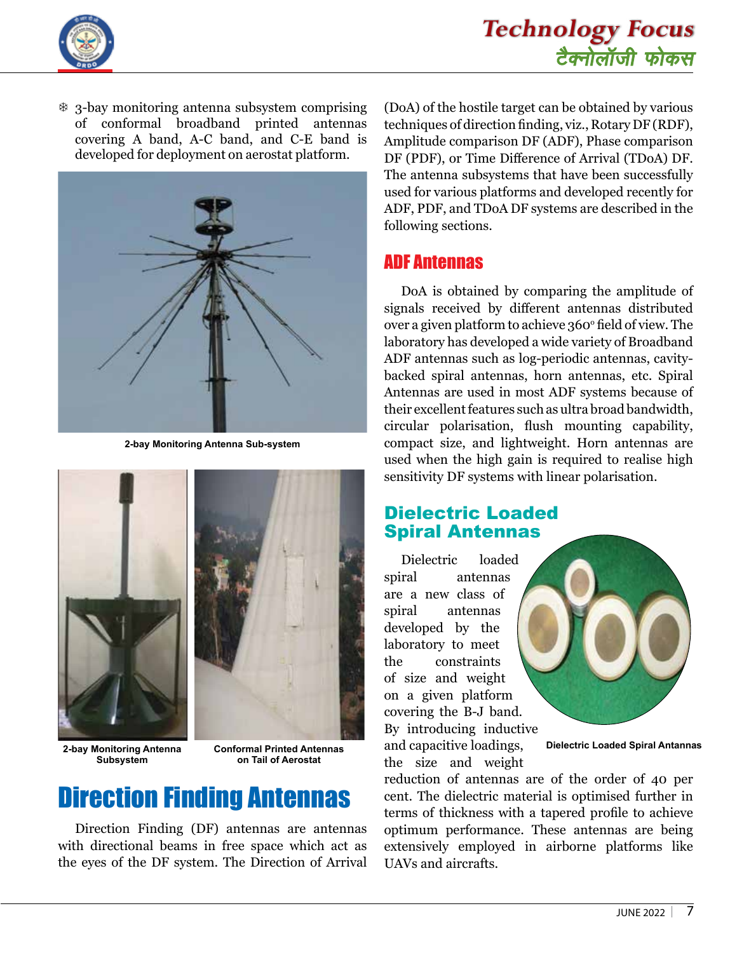

 $*$  3-bay monitoring antenna subsystem comprising of conformal broadband printed antennas covering A band, A-C band, and C-E band is developed for deployment on aerostat platform.



**2-bay Monitoring Antenna Sub-system**



**2-bay Monitoring Antenna Subsystem**

**Conformal Printed Antennas on Tail of Aerostat**

## Direction Finding Antennas

Direction Finding (DF) antennas are antennas with directional beams in free space which act as the eyes of the DF system. The Direction of Arrival (DoA) of the hostile target can be obtained by various techniques of direction finding, viz., Rotary DF (RDF), Amplitude comparison DF (ADF), Phase comparison DF (PDF), or Time Difference of Arrival (TDoA) DF. The antenna subsystems that have been successfully used for various platforms and developed recently for ADF, PDF, and TDoA DF systems are described in the following sections.

#### ADF Antennas

DoA is obtained by comparing the amplitude of signals received by different antennas distributed over a given platform to achieve 360º field of view. The laboratory has developed a wide variety of Broadband ADF antennas such as log-periodic antennas, cavitybacked spiral antennas, horn antennas, etc. Spiral Antennas are used in most ADF systems because of their excellent features such as ultra broad bandwidth, circular polarisation, flush mounting capability, compact size, and lightweight. Horn antennas are used when the high gain is required to realise high sensitivity DF systems with linear polarisation.

#### Dielectric Loaded Spiral Antennas

Dielectric loaded spiral antennas are a new class of spiral antennas developed by the laboratory to meet the constraints of size and weight on a given platform covering the B-J band. By introducing inductive and capacitive loadings,

the size and weight



**Dielectric Loaded Spiral Antannas**

reduction of antennas are of the order of 40 per cent. The dielectric material is optimised further in terms of thickness with a tapered profile to achieve optimum performance. These antennas are being extensively employed in airborne platforms like UAVs and aircrafts.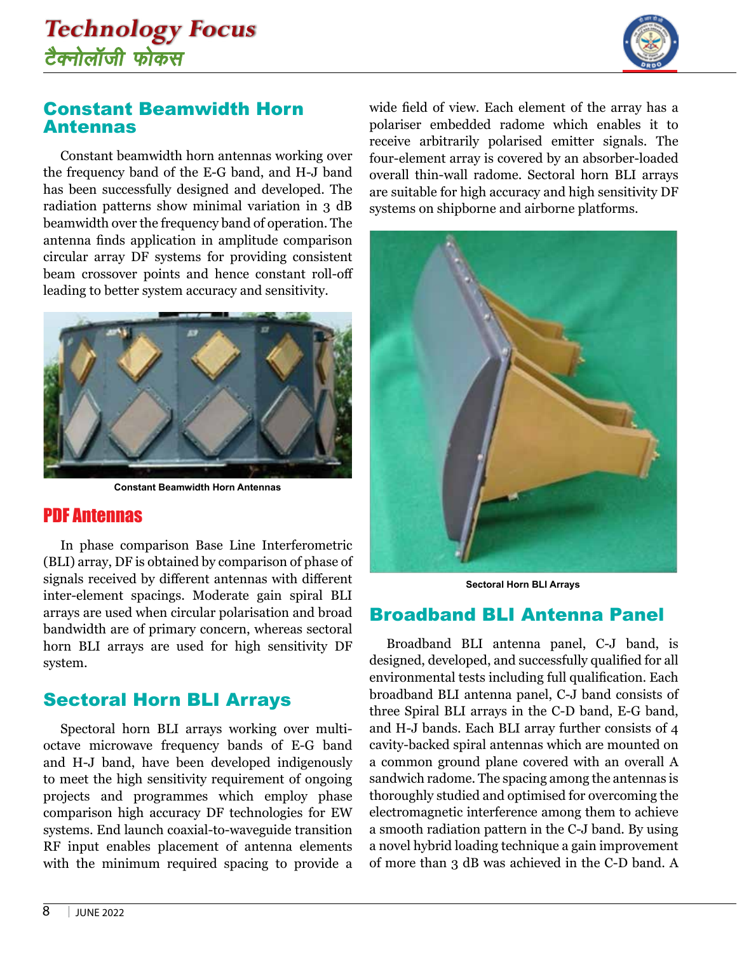

#### Constant Beamwidth Horn Antennas

Constant beamwidth horn antennas working over the frequency band of the E-G band, and H-J band has been successfully designed and developed. The radiation patterns show minimal variation in 3 dB beamwidth over the frequency band of operation. The antenna finds application in amplitude comparison circular array DF systems for providing consistent beam crossover points and hence constant roll-off leading to better system accuracy and sensitivity.



**Constant Beamwidth Horn Antennas**

#### PDF Antennas

In phase comparison Base Line Interferometric (BLI) array, DF is obtained by comparison of phase of signals received by different antennas with different inter-element spacings. Moderate gain spiral BLI arrays are used when circular polarisation and broad bandwidth are of primary concern, whereas sectoral horn BLI arrays are used for high sensitivity DF system.

#### Sectoral Horn BLI Arrays

Spectoral horn BLI arrays working over multioctave microwave frequency bands of E-G band and H-J band, have been developed indigenously to meet the high sensitivity requirement of ongoing projects and programmes which employ phase comparison high accuracy DF technologies for EW systems. End launch coaxial-to-waveguide transition RF input enables placement of antenna elements with the minimum required spacing to provide a wide field of view. Each element of the array has a polariser embedded radome which enables it to receive arbitrarily polarised emitter signals. The four-element array is covered by an absorber-loaded overall thin-wall radome. Sectoral horn BLI arrays are suitable for high accuracy and high sensitivity DF systems on shipborne and airborne platforms.



**Sectoral Horn BLI Arrays**

#### Broadband BLI Antenna Panel

Broadband BLI antenna panel, C-J band, is designed, developed, and successfully qualified for all environmental tests including full qualification. Each broadband BLI antenna panel, C-J band consists of three Spiral BLI arrays in the C-D band, E-G band, and H-J bands. Each BLI array further consists of 4 cavity-backed spiral antennas which are mounted on a common ground plane covered with an overall A sandwich radome. The spacing among the antennas is thoroughly studied and optimised for overcoming the electromagnetic interference among them to achieve a smooth radiation pattern in the C-J band. By using a novel hybrid loading technique a gain improvement of more than 3 dB was achieved in the C-D band. A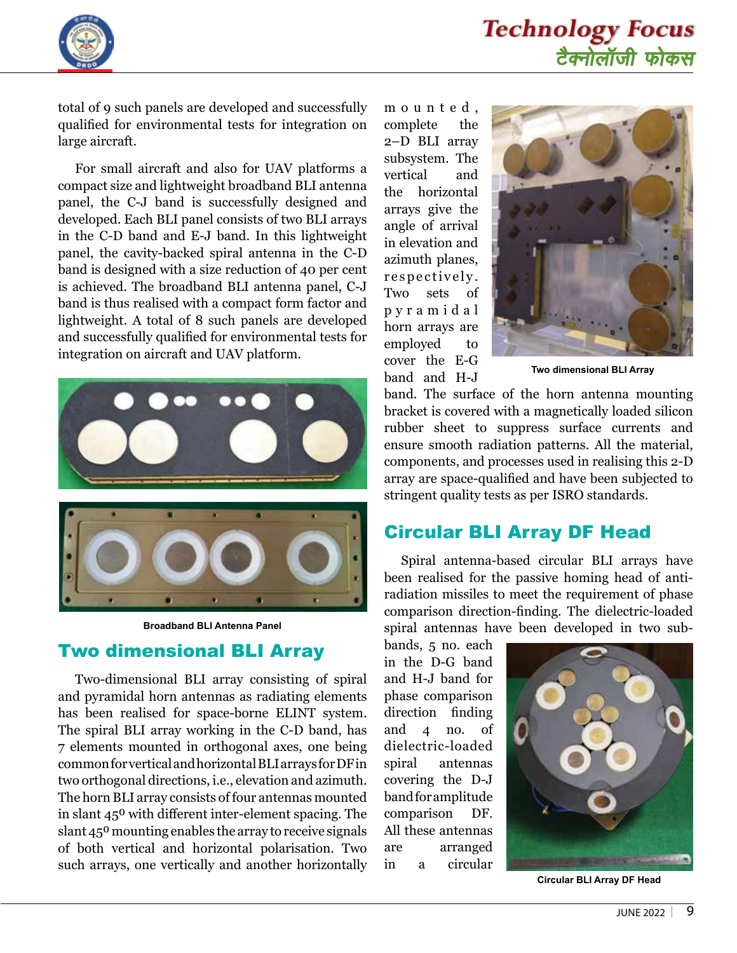

total of 9 such panels are developed and successfully qualified for environmental tests for integration on large aircraft.

For small aircraft and also for UAV platforms a compact size and lightweight broadband BLI antenna panel, the C-J band is successfully designed and developed. Each BLI panel consists of two BLI arrays in the C-D band and E-J band. In this lightweight panel, the cavity-backed spiral antenna in the C-D band is designed with a size reduction of 40 per cent is achieved. The broadband BLI antenna panel, C-J band is thus realised with a compact form factor and lightweight. A total of 8 such panels are developed and successfully qualified for environmental tests for integration on aircraft and UAV platform.



**Broadband BLI Antenna Panel**

#### Two dimensional BLI Array

Two-dimensional BLI array consisting of spiral and pyramidal horn antennas as radiating elements has been realised for space-borne ELINT system. The spiral BLI array working in the C-D band, has 7 elements mounted in orthogonal axes, one being common for vertical and horizontal BLI arrays for DF in two orthogonal directions, i.e., elevation and azimuth. The horn BLI array consists of four antennas mounted in slant 45<sup>0</sup> with different inter-element spacing. The slant 45<sup>0</sup> mounting enables the array to receive signals of both vertical and horizontal polarisation. Two such arrays, one vertically and another horizontally m o u n t e d , complete the 2–D BLI array subsystem. The vertical and the horizontal arrays give the angle of arrival in elevation and azimuth planes, r e spectively. Two sets of p y r a m i d a l horn arrays are employed to cover the E-G band and H-J



**Two dimensional BLI Array**

band. The surface of the horn antenna mounting bracket is covered with a magnetically loaded silicon rubber sheet to suppress surface currents and ensure smooth radiation patterns. All the material, components, and processes used in realising this 2-D array are space-qualified and have been subjected to stringent quality tests as per ISRO standards.

#### Circular BLI Array DF Head

Spiral antenna-based circular BLI arrays have been realised for the passive homing head of antiradiation missiles to meet the requirement of phase comparison direction-finding. The dielectric-loaded spiral antennas have been developed in two sub-

bands, 5 no. each in the D-G band and H-J band for phase comparison direction finding and 4 no. of dielectric-loaded spiral antennas covering the D-J band for amplitude comparison DF. All these antennas are arranged in a circular



**Circular BLI Array DF Head**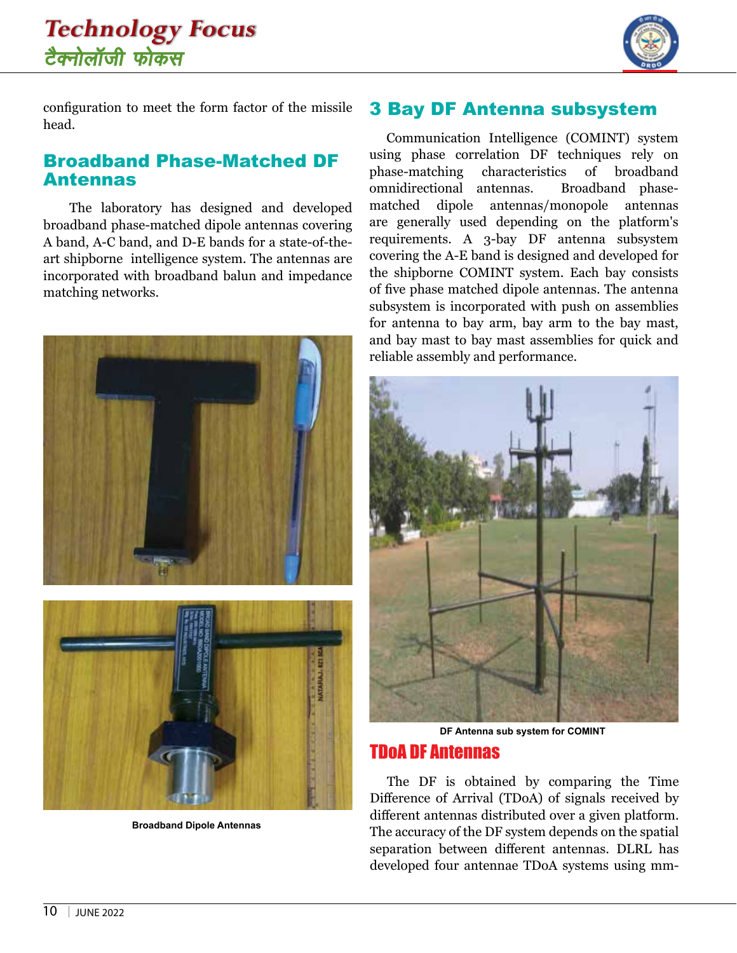

configuration to meet the form factor of the missile head.

#### Broadband Phase-Matched DF Antennas

 The laboratory has designed and developed broadband phase-matched dipole antennas covering A band, A-C band, and D-E bands for a state-of-theart shipborne intelligence system. The antennas are incorporated with broadband balun and impedance matching networks.



**Broadband Dipole Antennas**

#### 3 Bay DF Antenna subsystem

Communication Intelligence (COMINT) system using phase correlation DF techniques rely on phase-matching characteristics of broadband omnidirectional antennas. Broadband phasematched dipole antennas/monopole antennas are generally used depending on the platform's requirements. A 3-bay DF antenna subsystem covering the A-E band is designed and developed for the shipborne COMINT system. Each bay consists of five phase matched dipole antennas. The antenna subsystem is incorporated with push on assemblies for antenna to bay arm, bay arm to the bay mast, and bay mast to bay mast assemblies for quick and reliable assembly and performance.



**DF Antenna sub system for COMINT**

#### TDoA DF Antennas

The DF is obtained by comparing the Time Difference of Arrival (TDoA) of signals received by different antennas distributed over a given platform. The accuracy of the DF system depends on the spatial separation between different antennas. DLRL has developed four antennae TDoA systems using mm-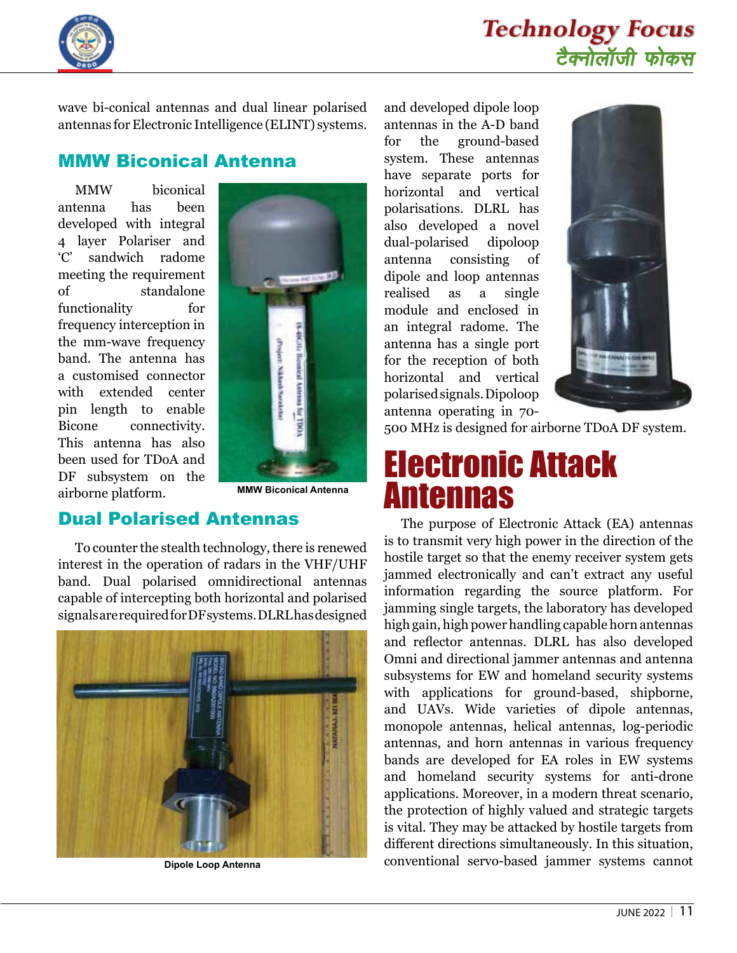



wave bi-conical antennas and dual linear polarised antennas for Electronic Intelligence (ELINT) systems.

#### MMW Biconical Antenna

MMW biconical antenna has been developed with integral 4 layer Polariser and 'C' sandwich radome meeting the requirement of standalone functionality for frequency interception in the mm-wave frequency band. The antenna has a customised connector with extended center pin length to enable Bicone connectivity. This antenna has also been used for TDoA and DF subsystem on the airborne platform.



**MMW Biconical Antenna**

#### Dual Polarised Antennas

To counter the stealth technology, there is renewed interest in the operation of radars in the VHF/UHF band. Dual polarised omnidirectional antennas capable of intercepting both horizontal and polarised signals are required for DF systems. DLRL has designed



**Dipole Loop Antenna**

and developed dipole loop antennas in the A-D band for the ground-based system. These antennas have separate ports for horizontal and vertical polarisations. DLRL has also developed a novel dual-polarised dipoloop antenna consisting of dipole and loop antennas realised as a single module and enclosed in an integral radome. The antenna has a single port for the reception of both horizontal and vertical polarised signals. Dipoloop antenna operating in 70-



500 MHz is designed for airborne TDoA DF system.

## Electronic Attack Antennas

The purpose of Electronic Attack (EA) antennas is to transmit very high power in the direction of the hostile target so that the enemy receiver system gets jammed electronically and can't extract any useful information regarding the source platform. For jamming single targets, the laboratory has developed high gain, high power handling capable horn antennas and reflector antennas. DLRL has also developed Omni and directional jammer antennas and antenna subsystems for EW and homeland security systems with applications for ground-based, shipborne, and UAVs. Wide varieties of dipole antennas, monopole antennas, helical antennas, log-periodic antennas, and horn antennas in various frequency bands are developed for EA roles in EW systems and homeland security systems for anti-drone applications. Moreover, in a modern threat scenario, the protection of highly valued and strategic targets is vital. They may be attacked by hostile targets from different directions simultaneously. In this situation, conventional servo-based jammer systems cannot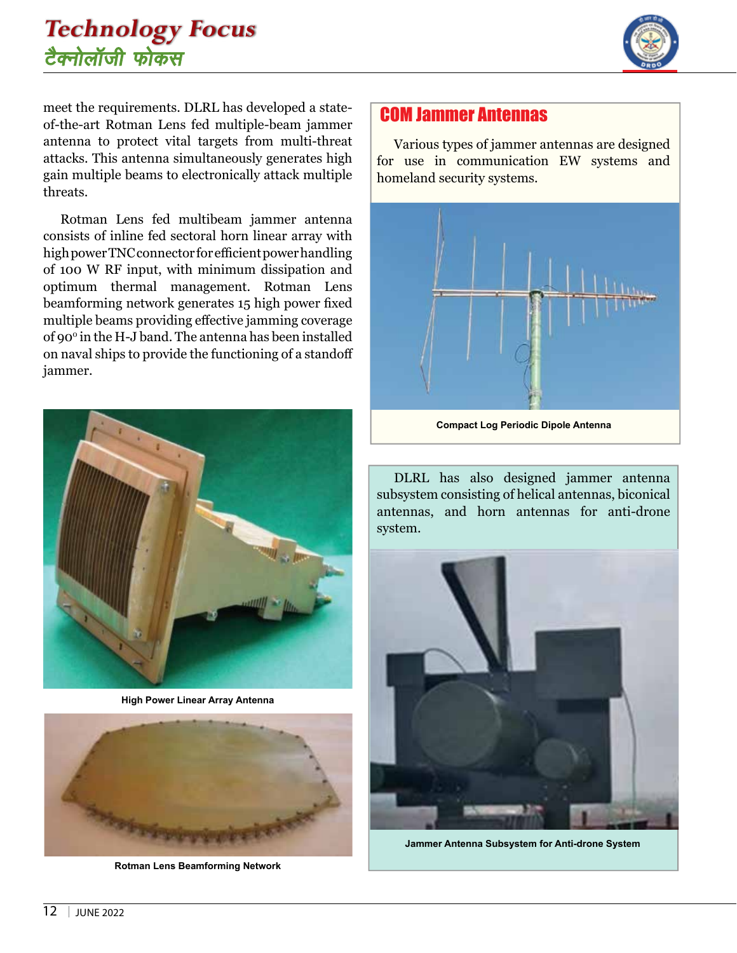

meet the requirements. DLRL has developed a stateof-the-art Rotman Lens fed multiple-beam jammer antenna to protect vital targets from multi-threat attacks. This antenna simultaneously generates high gain multiple beams to electronically attack multiple threats.

Rotman Lens fed multibeam jammer antenna consists of inline fed sectoral horn linear array with high power TNC connector for efficient power handling of 100 W RF input, with minimum dissipation and optimum thermal management. Rotman Lens beamforming network generates 15 high power fixed multiple beams providing effective jamming coverage of 900 in the H-J band. The antenna has been installed on naval ships to provide the functioning of a standoff jammer.



**High Power Linear Array Antenna**



**Rotman Lens Beamforming Network**

#### COM Jammer Antennas

Various types of jammer antennas are designed for use in communication EW systems and homeland security systems.



**Compact Log Periodic Dipole Antenna**

DLRL has also designed jammer antenna subsystem consisting of helical antennas, biconical antennas, and horn antennas for anti-drone system.



**Jammer Antenna Subsystem for Anti-drone System**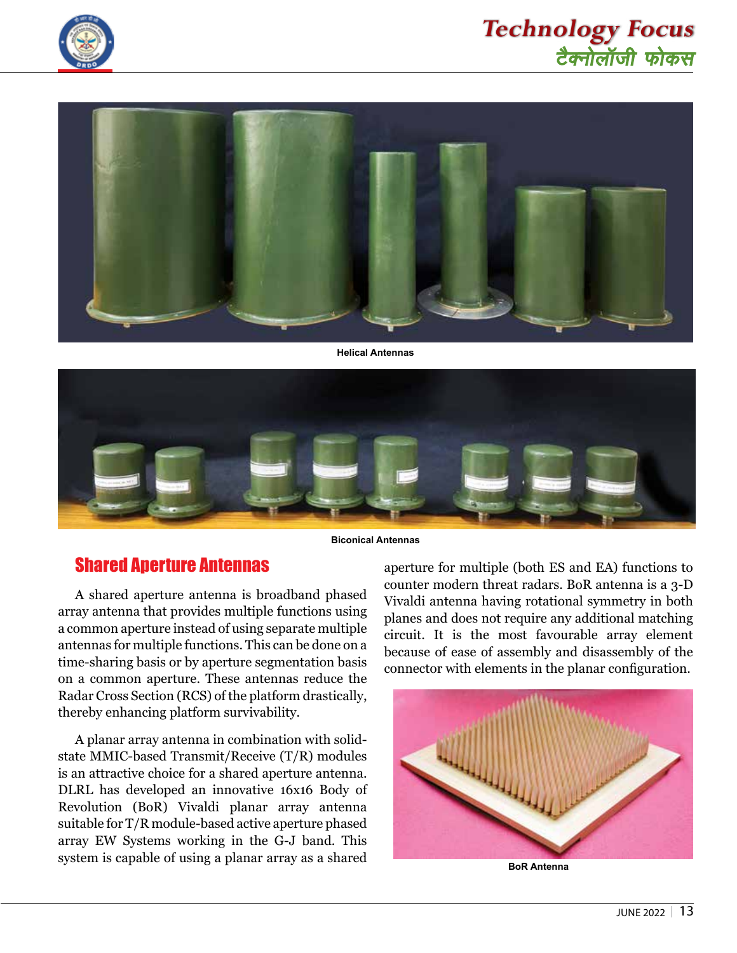





**Helical Antennas**



**Biconical Antennas**

#### Shared Aperture Antennas

A shared aperture antenna is broadband phased array antenna that provides multiple functions using a common aperture instead of using separate multiple antennas for multiple functions. This can be done on a time-sharing basis or by aperture segmentation basis on a common aperture. These antennas reduce the Radar Cross Section (RCS) of the platform drastically, thereby enhancing platform survivability.

A planar array antenna in combination with solidstate MMIC-based Transmit/Receive (T/R) modules is an attractive choice for a shared aperture antenna. DLRL has developed an innovative 16x16 Body of Revolution (BoR) Vivaldi planar array antenna suitable for T/R module-based active aperture phased array EW Systems working in the G-J band. This system is capable of using a planar array as a shared

aperture for multiple (both ES and EA) functions to counter modern threat radars. BoR antenna is a 3-D Vivaldi antenna having rotational symmetry in both planes and does not require any additional matching circuit. It is the most favourable array element because of ease of assembly and disassembly of the connector with elements in the planar configuration.



**BoR Antenna**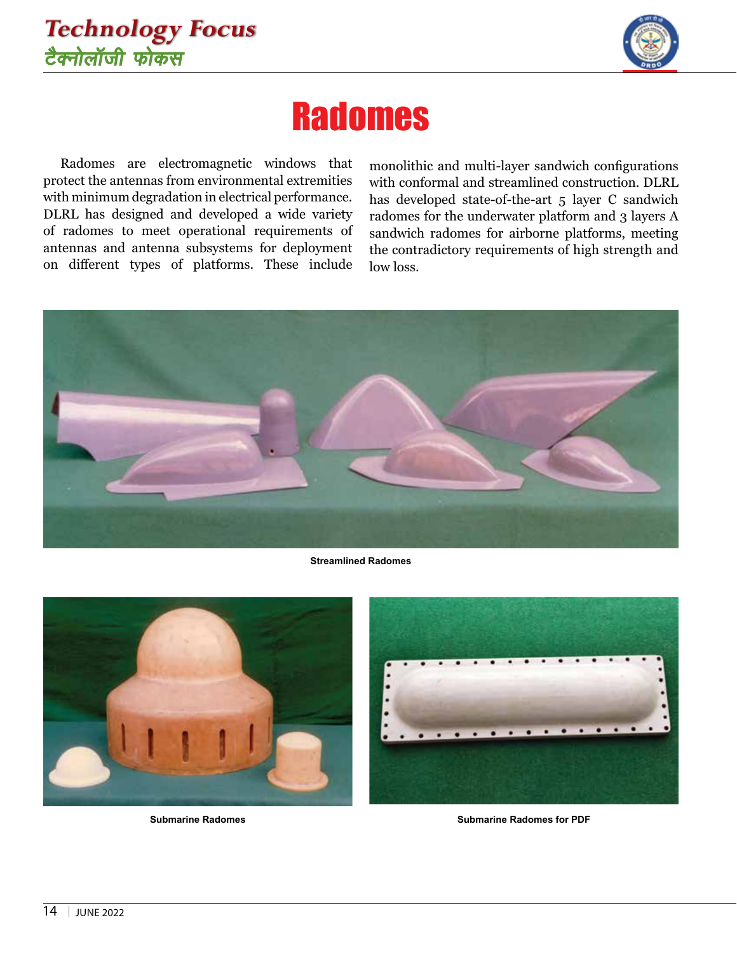## **Technology Focus** टैक्नोलॉजी फोकस



# **Radomes**

Radomes are electromagnetic windows that protect the antennas from environmental extremities with minimum degradation in electrical performance. DLRL has designed and developed a wide variety of radomes to meet operational requirements of antennas and antenna subsystems for deployment on different types of platforms. These include

monolithic and multi-layer sandwich configurations with conformal and streamlined construction. DLRL has developed state-of-the-art 5 layer C sandwich radomes for the underwater platform and 3 layers A sandwich radomes for airborne platforms, meeting the contradictory requirements of high strength and low loss.



**Streamlined Radomes**



**Submarine Radomes**



**Submarine Radomes for PDF**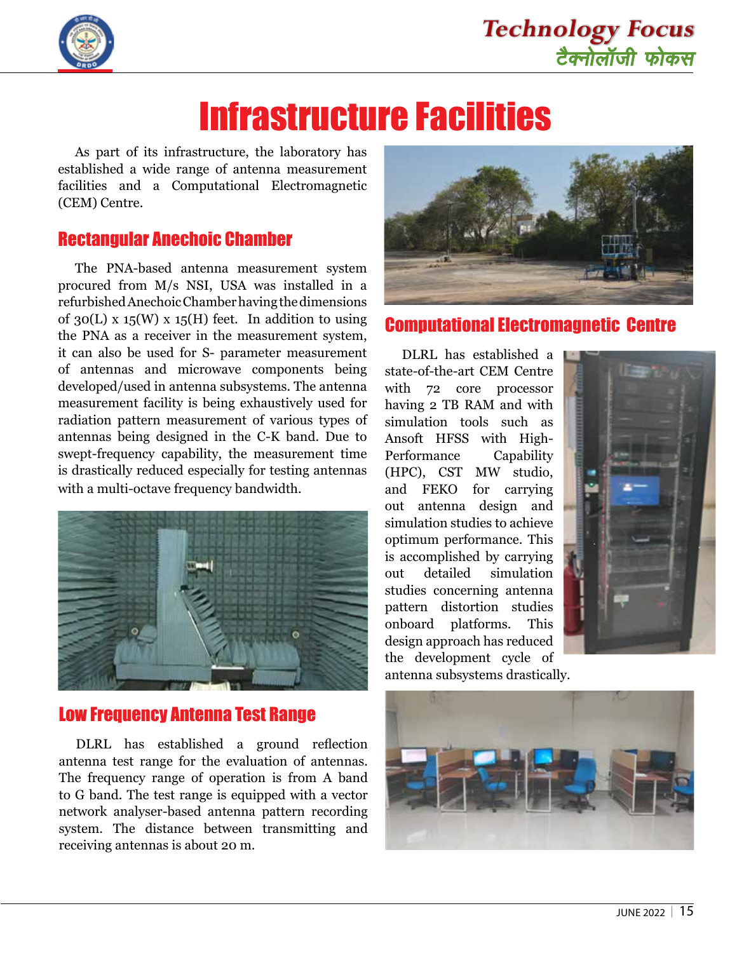

# Infrastructure Facilities

As part of its infrastructure, the laboratory has established a wide range of antenna measurement facilities and a Computational Electromagnetic (CEM) Centre.

#### Rectangular Anechoic Chamber

The PNA-based antenna measurement system procured from M/s NSI, USA was installed in a refurbished Anechoic Chamber having the dimensions of 30(L) x 15(W) x 15(H) feet. In addition to using the PNA as a receiver in the measurement system, it can also be used for S- parameter measurement of antennas and microwave components being developed/used in antenna subsystems. The antenna measurement facility is being exhaustively used for radiation pattern measurement of various types of antennas being designed in the C-K band. Due to swept-frequency capability, the measurement time is drastically reduced especially for testing antennas with a multi-octave frequency bandwidth.



#### Low Frequency Antenna Test Range

DLRL has established a ground reflection antenna test range for the evaluation of antennas. The frequency range of operation is from A band to G band. The test range is equipped with a vector network analyser-based antenna pattern recording system. The distance between transmitting and receiving antennas is about 20 m.



#### Computational Electromagnetic Centre

DLRL has established a state-of-the-art CEM Centre with 72 core processor having 2 TB RAM and with simulation tools such as Ansoft HFSS with High-Performance Capability (HPC), CST MW studio, and FEKO for carrying out antenna design and simulation studies to achieve optimum performance. This is accomplished by carrying out detailed simulation studies concerning antenna pattern distortion studies onboard platforms. This design approach has reduced the development cycle of antenna subsystems drastically.